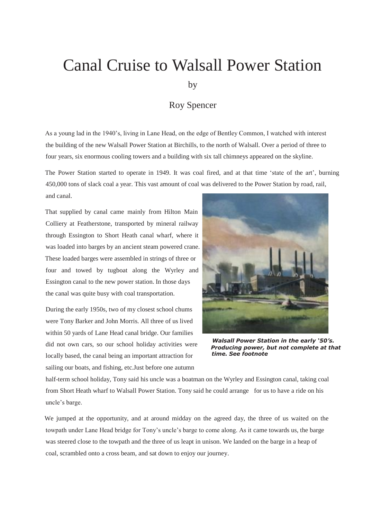## Canal Cruise to Walsall Power Station

by

## Roy Spencer

As a young lad in the 1940's, living in Lane Head, on the edge of Bentley Common, I watched with interest the building of the new Walsall Power Station at Birchills, to the north of Walsall. Over a period of three to four years, six enormous cooling towers and a building with six tall chimneys appeared on the skyline.

The Power Station started to operate in 1949. It was coal fired, and at that time 'state of the art', burning 450,000 tons of slack coal a year. This vast amount of coal was delivered to the Power Station by road, rail, and canal.

That supplied by canal came mainly from Hilton Main Colliery at Featherstone, transported by mineral railway through Essington to Short Heath canal wharf, where it was loaded into barges by an ancient steam powered crane. These loaded barges were assembled in strings of three or four and towed by tugboat along the Wyrley and Essington canal to the new power station. In those days the canal was quite busy with coal transportation.

During the early 1950s, two of my closest school chums were Tony Barker and John Morris. All three of us lived within 50 yards of Lane Head canal bridge. Our families sailing our boats, and fishing, etc.Just before one autumn did not own cars, so our school holiday activities were locally based, the canal being an important attraction for



*Walsall Power Station in the early '50's. Producing power, but not complete at that time. See footnote*

half-term school holiday, Tony said his uncle was a boatman on the Wyrley and Essington canal, taking coal from Short Heath wharf to Walsall Power Station. Tony said he could arrange for us to have a ride on his uncle's barge.

We jumped at the opportunity, and at around midday on the agreed day, the three of us waited on the towpath under Lane Head bridge for Tony's uncle's barge to come along. As it came towards us, the barge was steered close to the towpath and the three of us leapt in unison. We landed on the barge in a heap of coal, scrambled onto a cross beam, and sat down to enjoy our journey.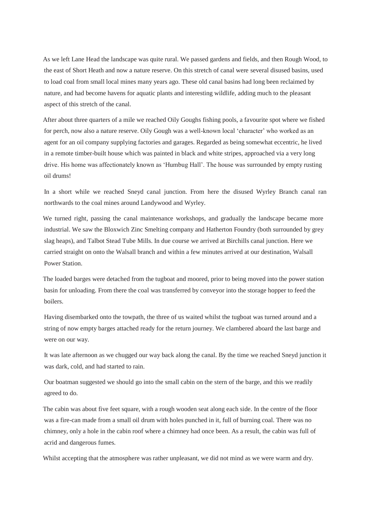As we left Lane Head the landscape was quite rural. We passed gardens and fields, and then Rough Wood, to the east of Short Heath and now a nature reserve. On this stretch of canal were several disused basins, used to load coal from small local mines many years ago. These old canal basins had long been reclaimed by nature, and had become havens for aquatic plants and interesting wildlife, adding much to the pleasant aspect of this stretch of the canal.

After about three quarters of a mile we reached Oily Goughs fishing pools, a favourite spot where we fished for perch, now also a nature reserve. Oily Gough was a well-known local 'character' who worked as an agent for an oil company supplying factories and garages. Regarded as being somewhat eccentric, he lived in a remote timber-built house which was painted in black and white stripes, approached via a very long drive. His home was affectionately known as 'Humbug Hall'. The house was surrounded by empty rusting oil drums!

In a short while we reached Sneyd canal junction. From here the disused Wyrley Branch canal ran northwards to the coal mines around Landywood and Wyrley.

We turned right, passing the canal maintenance workshops, and gradually the landscape became more industrial. We saw the Bloxwich Zinc Smelting company and Hatherton Foundry (both surrounded by grey slag heaps), and Talbot Stead Tube Mills. In due course we arrived at Birchills canal junction. Here we carried straight on onto the Walsall branch and within a few minutes arrived at our destination, Walsall Power Station.

The loaded barges were detached from the tugboat and moored, prior to being moved into the power station basin for unloading. From there the coal was transferred by conveyor into the storage hopper to feed the boilers.

Having disembarked onto the towpath, the three of us waited whilst the tugboat was turned around and a string of now empty barges attached ready for the return journey. We clambered aboard the last barge and were on our way.

It was late afternoon as we chugged our way back along the canal. By the time we reached Sneyd junction it was dark, cold, and had started to rain.

Our boatman suggested we should go into the small cabin on the stern of the barge, and this we readily agreed to do.

The cabin was about five feet square, with a rough wooden seat along each side. In the centre of the floor was a fire-can made from a small oil drum with holes punched in it, full of burning coal. There was no chimney, only a hole in the cabin roof where a chimney had once been. As a result, the cabin was full of acrid and dangerous fumes.

Whilst accepting that the atmosphere was rather unpleasant, we did not mind as we were warm and dry.